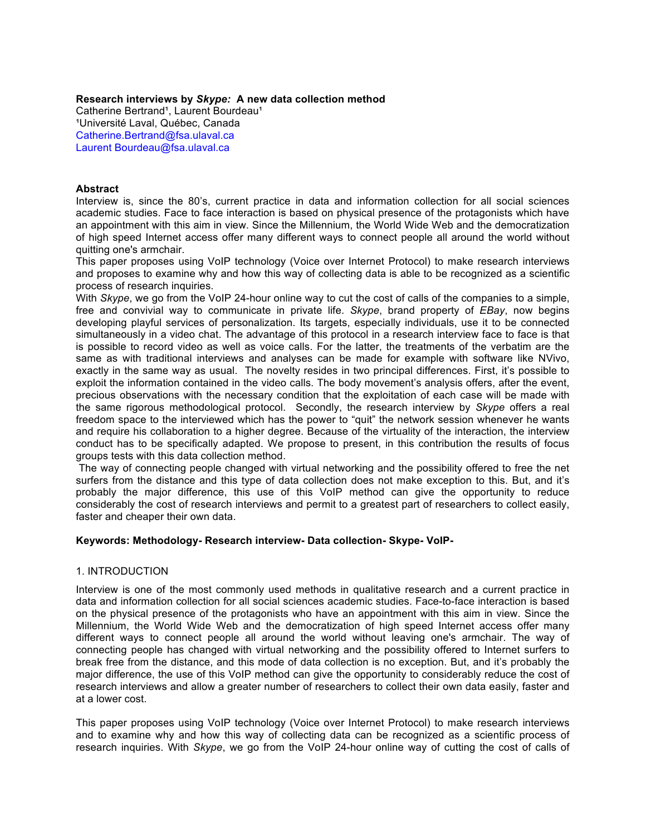**Research interviews by** *Skype:* **A new data collection method** Catherine Bertrand<sup>1</sup>, Laurent Bourdeau<sup>1</sup> <sup>1</sup>Université Laval, Québec, Canada Catherine.Bertrand@fsa.ulaval.ca Laurent Bourdeau@fsa.ulaval.ca

# **Abstract**

Interview is, since the 80's, current practice in data and information collection for all social sciences academic studies. Face to face interaction is based on physical presence of the protagonists which have an appointment with this aim in view. Since the Millennium, the World Wide Web and the democratization of high speed Internet access offer many different ways to connect people all around the world without quitting one's armchair.

This paper proposes using VoIP technology (Voice over Internet Protocol) to make research interviews and proposes to examine why and how this way of collecting data is able to be recognized as a scientific process of research inquiries.

With *Skype*, we go from the VoIP 24-hour online way to cut the cost of calls of the companies to a simple, free and convivial way to communicate in private life. *Skype*, brand property of *EBay*, now begins developing playful services of personalization. Its targets, especially individuals, use it to be connected simultaneously in a video chat. The advantage of this protocol in a research interview face to face is that is possible to record video as well as voice calls. For the latter, the treatments of the verbatim are the same as with traditional interviews and analyses can be made for example with software like NVivo, exactly in the same way as usual. The novelty resides in two principal differences. First, it's possible to exploit the information contained in the video calls. The body movement's analysis offers, after the event, precious observations with the necessary condition that the exploitation of each case will be made with the same rigorous methodological protocol. Secondly, the research interview by *Skype* offers a real freedom space to the interviewed which has the power to "quit" the network session whenever he wants and require his collaboration to a higher degree. Because of the virtuality of the interaction, the interview conduct has to be specifically adapted. We propose to present, in this contribution the results of focus groups tests with this data collection method.

The way of connecting people changed with virtual networking and the possibility offered to free the net surfers from the distance and this type of data collection does not make exception to this. But, and it's probably the major difference, this use of this VoIP method can give the opportunity to reduce considerably the cost of research interviews and permit to a greatest part of researchers to collect easily, faster and cheaper their own data.

# **Keywords: Methodology- Research interview- Data collection- Skype- VoIP-**

#### 1. INTRODUCTION

Interview is one of the most commonly used methods in qualitative research and a current practice in data and information collection for all social sciences academic studies. Face-to-face interaction is based on the physical presence of the protagonists who have an appointment with this aim in view. Since the Millennium, the World Wide Web and the democratization of high speed Internet access offer many different ways to connect people all around the world without leaving one's armchair. The way of connecting people has changed with virtual networking and the possibility offered to Internet surfers to break free from the distance, and this mode of data collection is no exception. But, and it's probably the major difference, the use of this VoIP method can give the opportunity to considerably reduce the cost of research interviews and allow a greater number of researchers to collect their own data easily, faster and at a lower cost.

This paper proposes using VoIP technology (Voice over Internet Protocol) to make research interviews and to examine why and how this way of collecting data can be recognized as a scientific process of research inquiries. With *Skype*, we go from the VoIP 24-hour online way of cutting the cost of calls of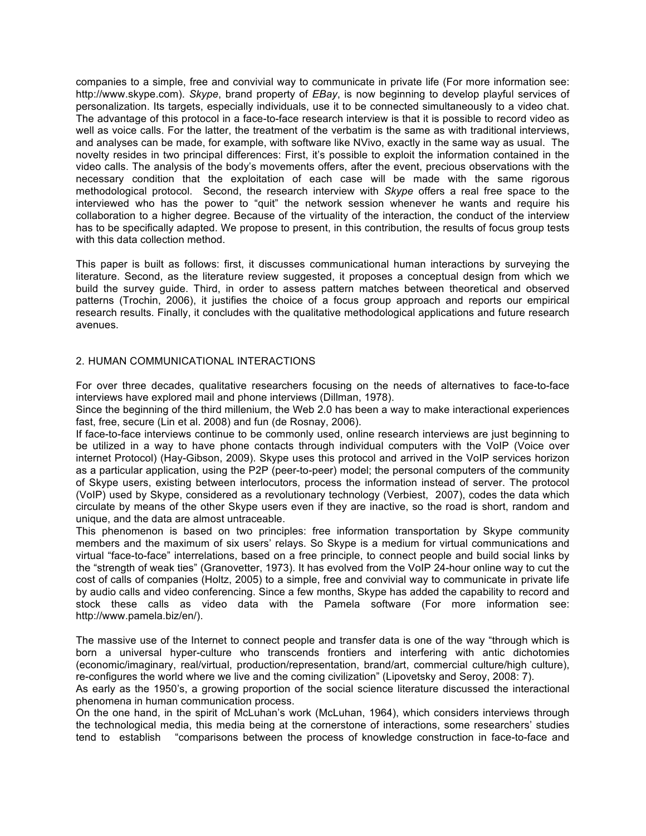companies to a simple, free and convivial way to communicate in private life (For more information see: http://www.skype.com). *Skype*, brand property of *EBay*, is now beginning to develop playful services of personalization. Its targets, especially individuals, use it to be connected simultaneously to a video chat. The advantage of this protocol in a face-to-face research interview is that it is possible to record video as well as voice calls. For the latter, the treatment of the verbatim is the same as with traditional interviews, and analyses can be made, for example, with software like NVivo, exactly in the same way as usual. The novelty resides in two principal differences: First, it's possible to exploit the information contained in the video calls. The analysis of the body's movements offers, after the event, precious observations with the necessary condition that the exploitation of each case will be made with the same rigorous methodological protocol. Second, the research interview with *Skype* offers a real free space to the interviewed who has the power to "quit" the network session whenever he wants and require his collaboration to a higher degree. Because of the virtuality of the interaction, the conduct of the interview has to be specifically adapted. We propose to present, in this contribution, the results of focus group tests with this data collection method.

This paper is built as follows: first, it discusses communicational human interactions by surveying the literature. Second, as the literature review suggested, it proposes a conceptual design from which we build the survey guide. Third, in order to assess pattern matches between theoretical and observed patterns (Trochin, 2006), it justifies the choice of a focus group approach and reports our empirical research results. Finally, it concludes with the qualitative methodological applications and future research avenues.

# 2. HUMAN COMMUNICATIONAL INTERACTIONS

For over three decades, qualitative researchers focusing on the needs of alternatives to face-to-face interviews have explored mail and phone interviews (Dillman, 1978).

Since the beginning of the third millenium, the Web 2.0 has been a way to make interactional experiences fast, free, secure (Lin et al. 2008) and fun (de Rosnay, 2006).

If face-to-face interviews continue to be commonly used, online research interviews are just beginning to be utilized in a way to have phone contacts through individual computers with the VoIP (Voice over internet Protocol) (Hay-Gibson, 2009). Skype uses this protocol and arrived in the VoIP services horizon as a particular application, using the P2P (peer-to-peer) model; the personal computers of the community of Skype users, existing between interlocutors, process the information instead of server. The protocol (VoIP) used by Skype, considered as a revolutionary technology (Verbiest, 2007), codes the data which circulate by means of the other Skype users even if they are inactive, so the road is short, random and unique, and the data are almost untraceable.

This phenomenon is based on two principles: free information transportation by Skype community members and the maximum of six users' relays. So Skype is a medium for virtual communications and virtual "face-to-face" interrelations, based on a free principle, to connect people and build social links by the "strength of weak ties" (Granovetter, 1973). It has evolved from the VoIP 24-hour online way to cut the cost of calls of companies (Holtz, 2005) to a simple, free and convivial way to communicate in private life by audio calls and video conferencing. Since a few months, Skype has added the capability to record and stock these calls as video data with the Pamela software (For more information see: http://www.pamela.biz/en/).

The massive use of the Internet to connect people and transfer data is one of the way "through which is born a universal hyper-culture who transcends frontiers and interfering with antic dichotomies (economic/imaginary, real/virtual, production/representation, brand/art, commercial culture/high culture), re-configures the world where we live and the coming civilization" (Lipovetsky and Seroy, 2008: 7).

As early as the 1950's, a growing proportion of the social science literature discussed the interactional phenomena in human communication process.

On the one hand, in the spirit of McLuhan's work (McLuhan, 1964), which considers interviews through the technological media, this media being at the cornerstone of interactions, some researchers' studies tend to establish "comparisons between the process of knowledge construction in face-to-face and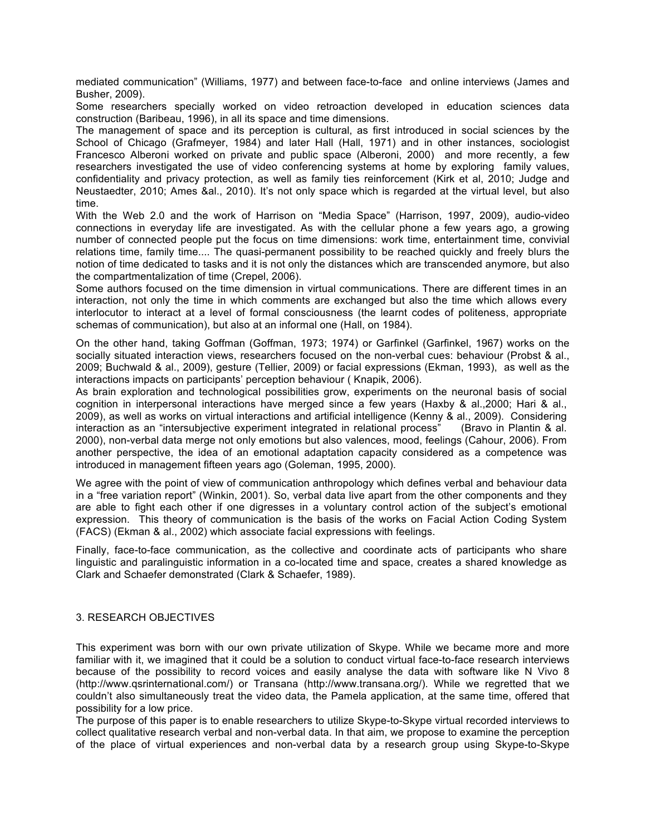mediated communication" (Williams, 1977) and between face-to-face and online interviews (James and Busher, 2009).

Some researchers specially worked on video retroaction developed in education sciences data construction (Baribeau, 1996), in all its space and time dimensions.

The management of space and its perception is cultural, as first introduced in social sciences by the School of Chicago (Grafmeyer, 1984) and later Hall (Hall, 1971) and in other instances, sociologist Francesco Alberoni worked on private and public space (Alberoni, 2000) and more recently, a few researchers investigated the use of video conferencing systems at home by exploring family values, confidentiality and privacy protection, as well as family ties reinforcement (Kirk et al, 2010; Judge and Neustaedter, 2010; Ames &al., 2010). It's not only space which is regarded at the virtual level, but also time.

With the Web 2.0 and the work of Harrison on "Media Space" (Harrison, 1997, 2009), audio-video connections in everyday life are investigated. As with the cellular phone a few years ago, a growing number of connected people put the focus on time dimensions: work time, entertainment time, convivial relations time, family time.... The quasi-permanent possibility to be reached quickly and freely blurs the notion of time dedicated to tasks and it is not only the distances which are transcended anymore, but also the compartmentalization of time (Crepel, 2006).

Some authors focused on the time dimension in virtual communications. There are different times in an interaction, not only the time in which comments are exchanged but also the time which allows every interlocutor to interact at a level of formal consciousness (the learnt codes of politeness, appropriate schemas of communication), but also at an informal one (Hall, on 1984).

On the other hand, taking Goffman (Goffman, 1973; 1974) or Garfinkel (Garfinkel, 1967) works on the socially situated interaction views, researchers focused on the non-verbal cues: behaviour (Probst & al., 2009; Buchwald & al., 2009), gesture (Tellier, 2009) or facial expressions (Ekman, 1993), as well as the interactions impacts on participants' perception behaviour ( Knapik, 2006).

As brain exploration and technological possibilities grow, experiments on the neuronal basis of social cognition in interpersonal interactions have merged since a few years (Haxby & al.,2000; Hari & al., 2009), as well as works on virtual interactions and artificial intelligence (Kenny & al., 2009). Considering interaction as an "intersubjective experiment integrated in relational process" (Bravo in Plantin & al. 2000), non-verbal data merge not only emotions but also valences, mood, feelings (Cahour, 2006). From another perspective, the idea of an emotional adaptation capacity considered as a competence was introduced in management fifteen years ago (Goleman, 1995, 2000).

We agree with the point of view of communication anthropology which defines verbal and behaviour data in a "free variation report" (Winkin, 2001). So, verbal data live apart from the other components and they are able to fight each other if one digresses in a voluntary control action of the subject's emotional expression. This theory of communication is the basis of the works on Facial Action Coding System (FACS) (Ekman & al., 2002) which associate facial expressions with feelings.

Finally, face-to-face communication, as the collective and coordinate acts of participants who share linguistic and paralinguistic information in a co-located time and space, creates a shared knowledge as Clark and Schaefer demonstrated (Clark & Schaefer, 1989).

# 3. RESEARCH OBJECTIVES

This experiment was born with our own private utilization of Skype. While we became more and more familiar with it, we imagined that it could be a solution to conduct virtual face-to-face research interviews because of the possibility to record voices and easily analyse the data with software like N Vivo 8 (http://www.qsrinternational.com/) or Transana (http://www.transana.org/). While we regretted that we couldn't also simultaneously treat the video data, the Pamela application, at the same time, offered that possibility for a low price.

The purpose of this paper is to enable researchers to utilize Skype-to-Skype virtual recorded interviews to collect qualitative research verbal and non-verbal data. In that aim, we propose to examine the perception of the place of virtual experiences and non-verbal data by a research group using Skype-to-Skype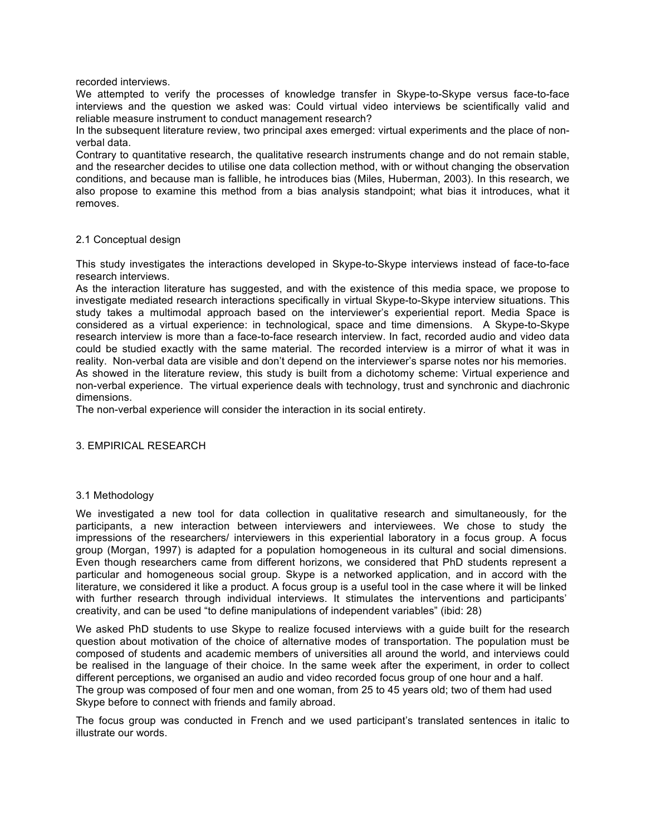recorded interviews.

We attempted to verify the processes of knowledge transfer in Skype-to-Skype versus face-to-face interviews and the question we asked was: Could virtual video interviews be scientifically valid and reliable measure instrument to conduct management research?

In the subsequent literature review, two principal axes emerged: virtual experiments and the place of nonverbal data.

Contrary to quantitative research, the qualitative research instruments change and do not remain stable, and the researcher decides to utilise one data collection method, with or without changing the observation conditions, and because man is fallible, he introduces bias (Miles, Huberman, 2003). In this research, we also propose to examine this method from a bias analysis standpoint; what bias it introduces, what it removes.

## 2.1 Conceptual design

This study investigates the interactions developed in Skype-to-Skype interviews instead of face-to-face research interviews.

As the interaction literature has suggested, and with the existence of this media space, we propose to investigate mediated research interactions specifically in virtual Skype-to-Skype interview situations. This study takes a multimodal approach based on the interviewer's experiential report. Media Space is considered as a virtual experience: in technological, space and time dimensions. A Skype-to-Skype research interview is more than a face-to-face research interview. In fact, recorded audio and video data could be studied exactly with the same material. The recorded interview is a mirror of what it was in reality. Non-verbal data are visible and don't depend on the interviewer's sparse notes nor his memories. As showed in the literature review, this study is built from a dichotomy scheme: Virtual experience and non-verbal experience. The virtual experience deals with technology, trust and synchronic and diachronic dimensions.

The non-verbal experience will consider the interaction in its social entirety.

#### 3. EMPIRICAL RESEARCH

# 3.1 Methodology

We investigated a new tool for data collection in qualitative research and simultaneously, for the participants, a new interaction between interviewers and interviewees. We chose to study the impressions of the researchers/ interviewers in this experiential laboratory in a focus group. A focus group (Morgan, 1997) is adapted for a population homogeneous in its cultural and social dimensions. Even though researchers came from different horizons, we considered that PhD students represent a particular and homogeneous social group. Skype is a networked application, and in accord with the literature, we considered it like a product. A focus group is a useful tool in the case where it will be linked with further research through individual interviews. It stimulates the interventions and participants' creativity, and can be used "to define manipulations of independent variables" (ibid: 28)

We asked PhD students to use Skype to realize focused interviews with a guide built for the research question about motivation of the choice of alternative modes of transportation. The population must be composed of students and academic members of universities all around the world, and interviews could be realised in the language of their choice. In the same week after the experiment, in order to collect different perceptions, we organised an audio and video recorded focus group of one hour and a half. The group was composed of four men and one woman, from 25 to 45 years old; two of them had used Skype before to connect with friends and family abroad.

The focus group was conducted in French and we used participant's translated sentences in italic to illustrate our words.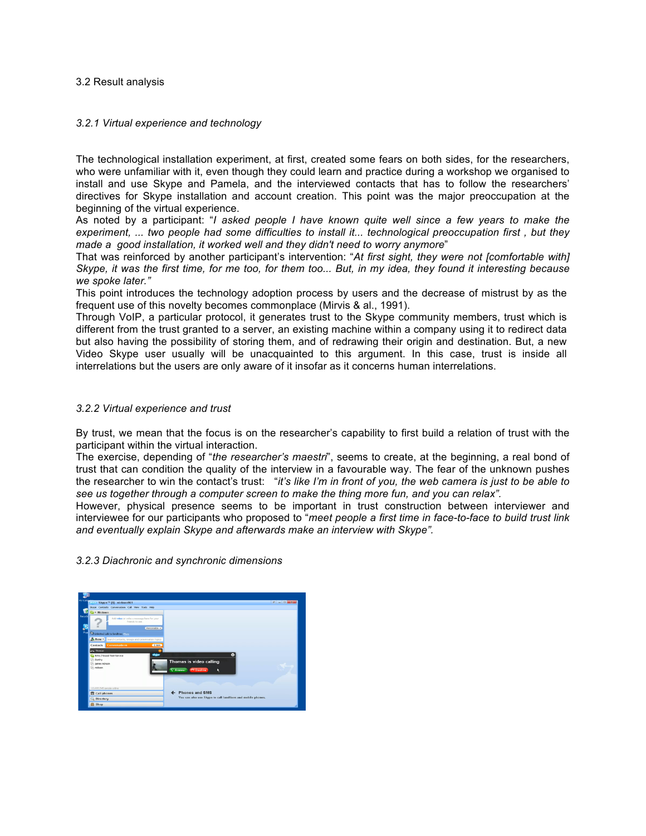## 3.2 Result analysis

## *3.2.1 Virtual experience and technology*

The technological installation experiment, at first, created some fears on both sides, for the researchers, who were unfamiliar with it, even though they could learn and practice during a workshop we organised to install and use Skype and Pamela, and the interviewed contacts that has to follow the researchers' directives for Skype installation and account creation. This point was the major preoccupation at the beginning of the virtual experience.

As noted by a participant: "*I asked people I have known quite well since a few years to make the experiment, ... two people had some difficulties to install it... technological preoccupation first , but they made a good installation, it worked well and they didn't need to worry anymore*"

That was reinforced by another participant's intervention: "*At first sight, they were not [comfortable with] Skype, it was the first time, for me too, for them too... But, in my idea, they found it interesting because we spoke later."*

This point introduces the technology adoption process by users and the decrease of mistrust by as the frequent use of this novelty becomes commonplace (Mirvis & al., 1991).

Through VoIP, a particular protocol, it generates trust to the Skype community members, trust which is different from the trust granted to a server, an existing machine within a company using it to redirect data but also having the possibility of storing them, and of redrawing their origin and destination. But, a new Video Skype user usually will be unacquainted to this argument. In this case, trust is inside all interrelations but the users are only aware of it insofar as it concerns human interrelations.

## *3.2.2 Virtual experience and trust*

By trust, we mean that the focus is on the researcher's capability to first build a relation of trust with the participant within the virtual interaction.

The exercise, depending of "*the researcher's maestri*", seems to create, at the beginning, a real bond of trust that can condition the quality of the interview in a favourable way. The fear of the unknown pushes the researcher to win the contact's trust: "*it's like I'm in front of you, the web camera is just to be able to see us together through a computer screen to make the thing more fun, and you can relax".*

However, physical presence seems to be important in trust construction between interviewer and interviewee for our participants who proposed to "*meet people a first time in face-to-face to build trust link and eventually explain Skype and afterwards make an interview with Skype".*

*3.2.3 Diachronic and synchronic dimensions*

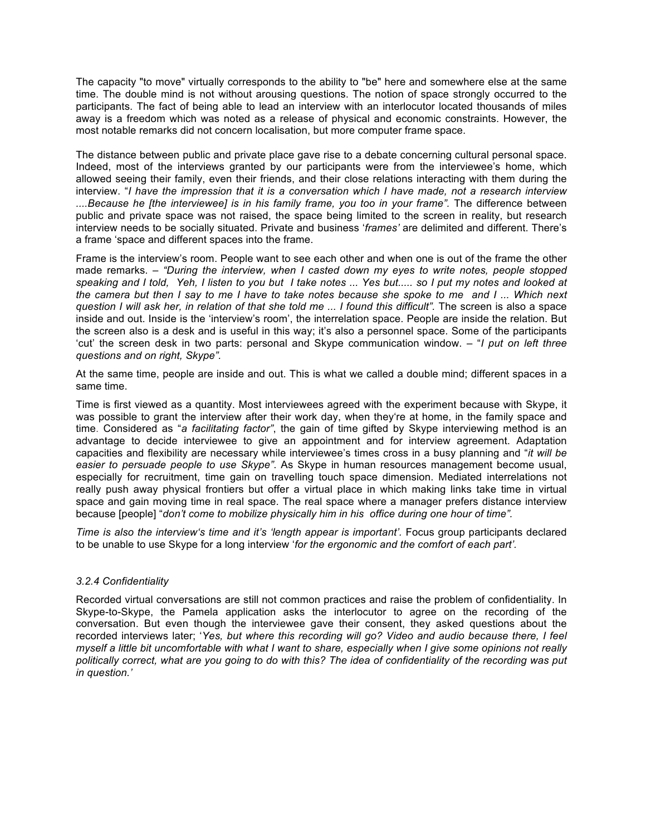The capacity "to move" virtually corresponds to the ability to "be" here and somewhere else at the same time. The double mind is not without arousing questions. The notion of space strongly occurred to the participants. The fact of being able to lead an interview with an interlocutor located thousands of miles away is a freedom which was noted as a release of physical and economic constraints. However, the most notable remarks did not concern localisation, but more computer frame space.

The distance between public and private place gave rise to a debate concerning cultural personal space. Indeed, most of the interviews granted by our participants were from the interviewee's home, which allowed seeing their family, even their friends, and their close relations interacting with them during the interview. "*I have the impression that it is a conversation which I have made, not a research interview ....Because he [the interviewee] is in his family frame, you too in your frame".* The difference between public and private space was not raised, the space being limited to the screen in reality, but research interview needs to be socially situated. Private and business '*frames'* are delimited and different. There's a frame 'space and different spaces into the frame.

Frame is the interview's room. People want to see each other and when one is out of the frame the other made remarks. *– "During the interview, when I casted down my eyes to write notes, people stopped speaking and I told, Yeh, I listen to you but I take notes ... Yes but..... so I put my notes and looked at the camera but then I say to me I have to take notes because she spoke to me and I ... Which next question I will ask her, in relation of that she told me ... I found this difficult"*. The screen is also a space inside and out. Inside is the 'interview's room', the interrelation space. People are inside the relation. But the screen also is a desk and is useful in this way; it's also a personnel space. Some of the participants 'cut' the screen desk in two parts: personal and Skype communication window. – "*I put on left three questions and on right, Skype".*

At the same time, people are inside and out. This is what we called a double mind; different spaces in a same time.

Time is first viewed as a quantity. Most interviewees agreed with the experiment because with Skype, it was possible to grant the interview after their work day, when they're at home, in the family space and time. Considered as "*a facilitating factor"*, the gain of time gifted by Skype interviewing method is an advantage to decide interviewee to give an appointment and for interview agreement. Adaptation capacities and flexibility are necessary while interviewee's times cross in a busy planning and "*it will be easier to persuade people to use Skype"*. As Skype in human resources management become usual, especially for recruitment, time gain on travelling touch space dimension. Mediated interrelations not really push away physical frontiers but offer a virtual place in which making links take time in virtual space and gain moving time in real space. The real space where a manager prefers distance interview because [people] "*don't come to mobilize physically him in his office during one hour of time".*

*Time is also the interview's time and it's 'length appear is important'.* Focus group participants declared to be unable to use Skype for a long interview '*for the ergonomic and the comfort of each part'.*

#### *3.2.4 Confidentiality*

Recorded virtual conversations are still not common practices and raise the problem of confidentiality. In Skype-to-Skype, the Pamela application asks the interlocutor to agree on the recording of the conversation. But even though the interviewee gave their consent, they asked questions about the recorded interviews later; '*Yes, but where this recording will go? Video and audio because there, I feel myself a little bit uncomfortable with what I want to share, especially when I give some opinions not really politically correct, what are you going to do with this? The idea of confidentiality of the recording was put in question.'*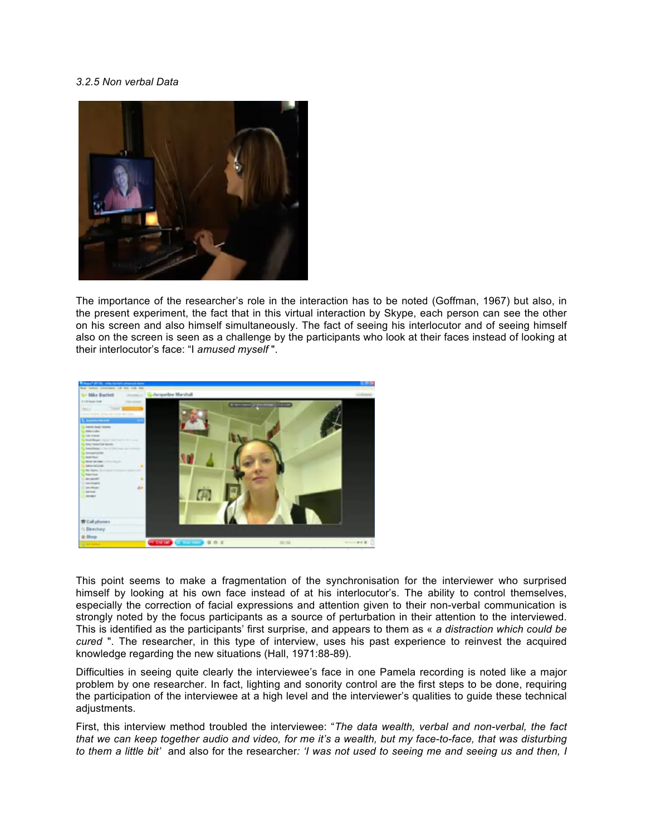# *3.2.5 Non verbal Data*



The importance of the researcher's role in the interaction has to be noted (Goffman, 1967) but also, in the present experiment, the fact that in this virtual interaction by Skype, each person can see the other on his screen and also himself simultaneously. The fact of seeing his interlocutor and of seeing himself also on the screen is seen as a challenge by the participants who look at their faces instead of looking at their interlocutor's face: "I *amused myself* ".



This point seems to make a fragmentation of the synchronisation for the interviewer who surprised himself by looking at his own face instead of at his interlocutor's. The ability to control themselves, especially the correction of facial expressions and attention given to their non-verbal communication is strongly noted by the focus participants as a source of perturbation in their attention to the interviewed. This is identified as the participants' first surprise, and appears to them as « *a distraction which could be cured* ". The researcher, in this type of interview, uses his past experience to reinvest the acquired knowledge regarding the new situations (Hall, 1971:88-89).

Difficulties in seeing quite clearly the interviewee's face in one Pamela recording is noted like a major problem by one researcher. In fact, lighting and sonority control are the first steps to be done, requiring the participation of the interviewee at a high level and the interviewer's qualities to guide these technical adjustments.

First, this interview method troubled the interviewee: "*The data wealth, verbal and non-verbal, the fact that we can keep together audio and video, for me it's a wealth, but my face-to-face, that was disturbing to them a little bit'* and also for the researcher*: 'I was not used to seeing me and seeing us and then, I*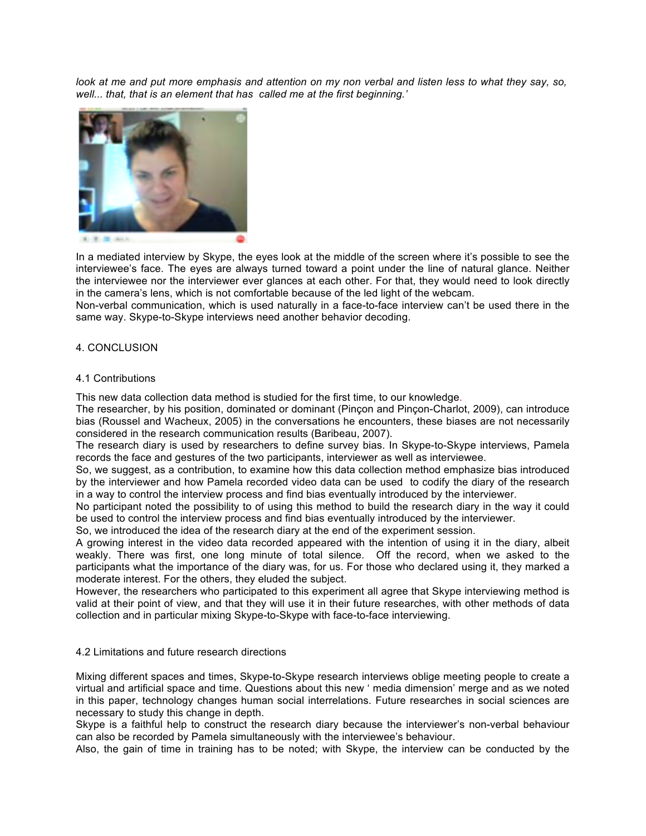*look at me and put more emphasis and attention on my non verbal and listen less to what they say, so, well... that, that is an element that has called me at the first beginning.'*



In a mediated interview by Skype, the eyes look at the middle of the screen where it's possible to see the interviewee's face. The eyes are always turned toward a point under the line of natural glance. Neither the interviewee nor the interviewer ever glances at each other. For that, they would need to look directly in the camera's lens, which is not comfortable because of the led light of the webcam.

Non-verbal communication, which is used naturally in a face-to-face interview can't be used there in the same way. Skype-to-Skype interviews need another behavior decoding.

# 4. CONCLUSION

#### 4.1 Contributions

This new data collection data method is studied for the first time, to our knowledge.

The researcher, by his position, dominated or dominant (Pinçon and Pinçon-Charlot, 2009), can introduce bias (Roussel and Wacheux, 2005) in the conversations he encounters, these biases are not necessarily considered in the research communication results (Baribeau, 2007).

The research diary is used by researchers to define survey bias. In Skype-to-Skype interviews, Pamela records the face and gestures of the two participants, interviewer as well as interviewee.

So, we suggest, as a contribution, to examine how this data collection method emphasize bias introduced by the interviewer and how Pamela recorded video data can be used to codify the diary of the research in a way to control the interview process and find bias eventually introduced by the interviewer.

No participant noted the possibility to of using this method to build the research diary in the way it could be used to control the interview process and find bias eventually introduced by the interviewer.

So, we introduced the idea of the research diary at the end of the experiment session.

A growing interest in the video data recorded appeared with the intention of using it in the diary, albeit weakly. There was first, one long minute of total silence. Off the record, when we asked to the participants what the importance of the diary was, for us. For those who declared using it, they marked a moderate interest. For the others, they eluded the subject.

However, the researchers who participated to this experiment all agree that Skype interviewing method is valid at their point of view, and that they will use it in their future researches, with other methods of data collection and in particular mixing Skype-to-Skype with face-to-face interviewing.

#### 4.2 Limitations and future research directions

Mixing different spaces and times, Skype-to-Skype research interviews oblige meeting people to create a virtual and artificial space and time. Questions about this new ' media dimension' merge and as we noted in this paper, technology changes human social interrelations. Future researches in social sciences are necessary to study this change in depth.

Skype is a faithful help to construct the research diary because the interviewer's non-verbal behaviour can also be recorded by Pamela simultaneously with the interviewee's behaviour.

Also, the gain of time in training has to be noted; with Skype, the interview can be conducted by the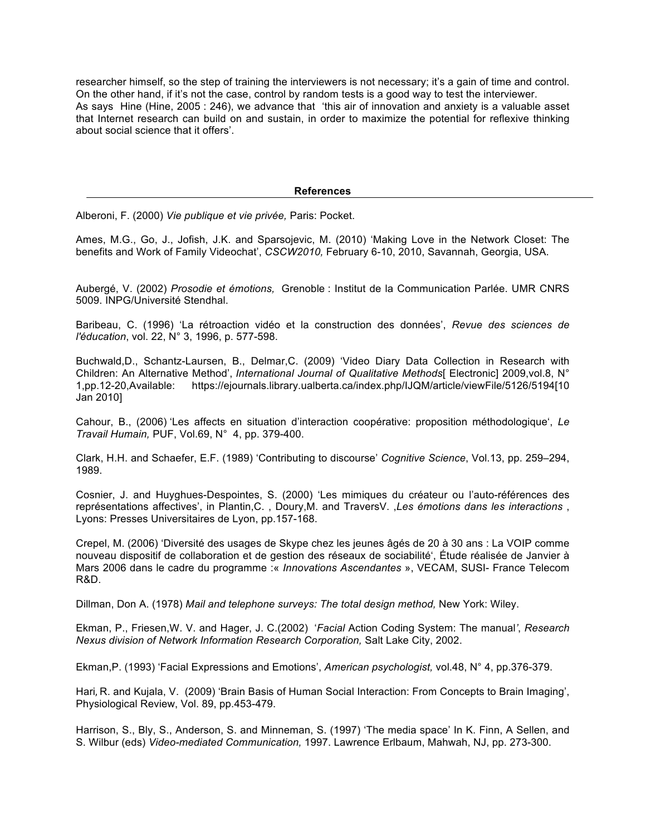researcher himself, so the step of training the interviewers is not necessary; it's a gain of time and control. On the other hand, if it's not the case, control by random tests is a good way to test the interviewer. As says Hine (Hine, 2005 : 246), we advance that 'this air of innovation and anxiety is a valuable asset that Internet research can build on and sustain, in order to maximize the potential for reflexive thinking about social science that it offers'.

## **References**

Alberoni, F. (2000) *Vie publique et vie privée,* Paris: Pocket.

Ames, M.G., Go, J., Jofish, J.K. and Sparsojevic, M. (2010) 'Making Love in the Network Closet: The benefits and Work of Family Videochat', *CSCW2010,* February 6-10, 2010, Savannah, Georgia, USA.

Aubergé, V. (2002) *Prosodie et émotions,* Grenoble : Institut de la Communication Parlée. UMR CNRS 5009. INPG/Université Stendhal.

Baribeau, C. (1996) 'La rétroaction vidéo et la construction des données', *Revue des sciences de l'éducation*, vol. 22, N° 3, 1996, p. 577-598.

Buchwald,D., Schantz-Laursen, B., Delmar,C. (2009) 'Video Diary Data Collection in Research with Children: An Alternative Method', *International Journal of Qualitative Methods*[ Electronic] 2009,vol.8, N° 1,pp.12-20,Available: https://ejournals.library.ualberta.ca/index.php/IJQM/article/viewFile/5126/5194[10 Jan 2010]

Cahour, B., (2006) 'Les affects en situation d'interaction coopérative: proposition méthodologique', *Le Travail Humain,* PUF, Vol.69, N° 4, pp. 379-400.

Clark, H.H. and Schaefer, E.F. (1989) 'Contributing to discourse' *Cognitive Science*, Vol.13, pp. 259–294, 1989.

Cosnier, J. and Huyghues-Despointes, S. (2000) 'Les mimiques du créateur ou l'auto-références des représentations affectives', in Plantin,C. , Doury,M. and TraversV. ,*Les émotions dans les interactions* , Lyons: Presses Universitaires de Lyon, pp.157-168.

Crepel, M. (2006) 'Diversité des usages de Skype chez les jeunes âgés de 20 à 30 ans : La VOIP comme nouveau dispositif de collaboration et de gestion des réseaux de sociabilité', Étude réalisée de Janvier à Mars 2006 dans le cadre du programme :« *Innovations Ascendantes* », VECAM, SUSI- France Telecom R&D.

Dillman, Don A. (1978) *Mail and telephone surveys: The total design method,* New York: Wiley.

Ekman, P., Friesen,W. V. and Hager, J. C.(2002) '*Facial* Action Coding System: The manual*'*, *Research Nexus division of Network Information Research Corporation, Salt Lake City, 2002.* 

Ekman,P. (1993) 'Facial Expressions and Emotions', *American psychologist,* vol.48, N° 4, pp.376-379.

Hari, R. and Kujala, V. (2009) 'Brain Basis of Human Social Interaction: From Concepts to Brain Imaging', Physiological Review, Vol. 89, pp.453-479.

Harrison, S., Bly, S., Anderson, S. and Minneman, S. (1997) 'The media space' In K. Finn, A Sellen, and S. Wilbur (eds) *Video-mediated Communication,* 1997. Lawrence Erlbaum, Mahwah, NJ, pp. 273-300.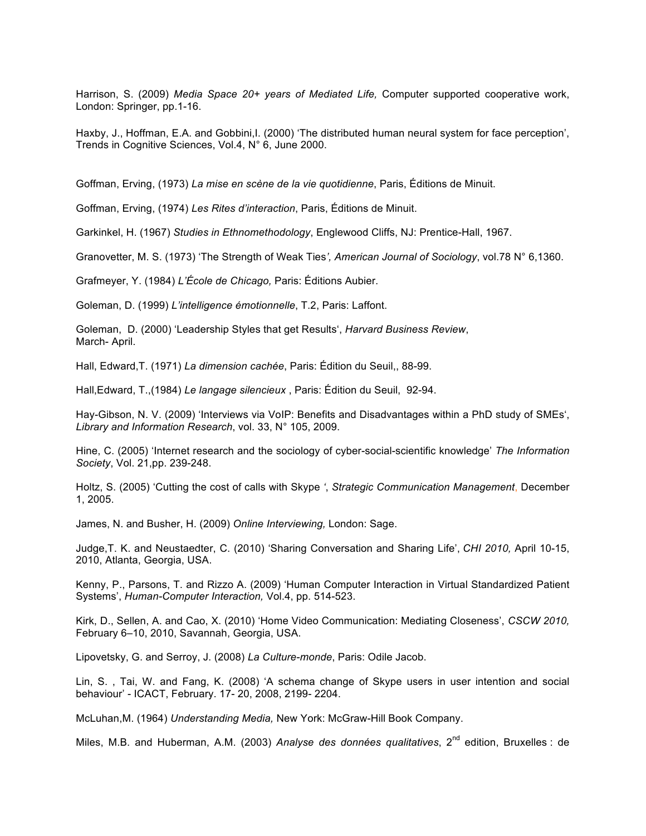Harrison, S. (2009) *Media Space 20+ years of Mediated Life,* Computer supported cooperative work, London: Springer, pp.1-16.

Haxby, J., Hoffman, E.A. and Gobbini, I. (2000) 'The distributed human neural system for face perception', Trends in Cognitive Sciences, Vol.4, N° 6, June 2000.

Goffman, Erving, (1973) *La mise en scène de la vie quotidienne*, Paris, Éditions de Minuit.

Goffman, Erving, (1974) *Les Rites d'interaction*, Paris, Éditions de Minuit.

Garkinkel, H. (1967) *Studies in Ethnomethodology*, Englewood Cliffs, NJ: Prentice-Hall, 1967.

Granovetter, M. S. (1973) 'The Strength of Weak Ties*', American Journal of Sociology*, vol.78 N° 6,1360.

Grafmeyer, Y. (1984) *L'École de Chicago,* Paris: Éditions Aubier.

Goleman, D. (1999) *L'intelligence émotionnelle*, T.2, Paris: Laffont.

Goleman, D. (2000) 'Leadership Styles that get Results', *Harvard Business Review*, March- April.

Hall, Edward,T. (1971) *La dimension cachée*, Paris: Édition du Seuil,, 88-99.

Hall,Edward, T.,(1984) *Le langage silencieux* , Paris: Édition du Seuil, 92-94.

Hay-Gibson, N. V. (2009) 'Interviews via VoIP: Benefits and Disadvantages within a PhD study of SMEs', *Library and Information Research*, vol. 33, N° 105, 2009.

Hine, C. (2005) 'Internet research and the sociology of cyber-social-scientific knowledge' *The Information Society*, Vol. 21,pp. 239-248.

Holtz, S. (2005) 'Cutting the cost of calls with Skype *'*, *Strategic Communication Management*, December 1, 2005.

James, N. and Busher, H. (2009) *Online Interviewing,* London: Sage.

Judge,T. K. and Neustaedter, C. (2010) 'Sharing Conversation and Sharing Life', *CHI 2010,* April 10-15, 2010, Atlanta, Georgia, USA.

Kenny, P., Parsons, T. and Rizzo A. (2009) 'Human Computer Interaction in Virtual Standardized Patient Systems', *Human-Computer Interaction,* Vol.4, pp. 514-523.

Kirk, D., Sellen, A. and Cao, X. (2010) 'Home Video Communication: Mediating Closeness', *CSCW 2010,*  February 6–10, 2010, Savannah, Georgia, USA.

Lipovetsky, G. and Serroy, J. (2008) *La Culture-monde*, Paris: Odile Jacob.

Lin, S. , Tai, W. and Fang, K. (2008) 'A schema change of Skype users in user intention and social behaviour' - ICACT, February. 17- 20, 2008, 2199- 2204.

McLuhan,M. (1964) *Understanding Media,* New York: McGraw-Hill Book Company.

Miles, M.B. and Huberman, A.M. (2003) *Analyse des données qualitatives*, 2<sup>nd</sup> edition, Bruxelles : de